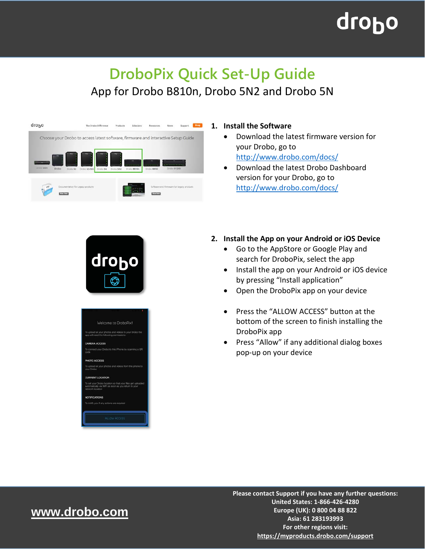# **droho**

### **DroboPix Quick Set-Up Guide** App for Drobo B810n, Drobo 5N2 and Drobo 5N



#### **1. Install the Software**

- Download the latest firmware version for your Drobo, go to <http://www.drobo.com/docs/>
- Download the latest Drobo Dashboard version for your Drobo, go to <http://www.drobo.com/docs/>



| ٠                                                                                                                                      |
|----------------------------------------------------------------------------------------------------------------------------------------|
| Welcome to DroboPix!                                                                                                                   |
| To upload all your photos and videos to your Drobo the<br>app will need the following permissions:                                     |
| <b>CAMERA ACCESS</b>                                                                                                                   |
| To connect your Drobo to this iPhone by scanning a QR<br>code                                                                          |
| PHOTO ACCESS                                                                                                                           |
| To upload all your photos and videos from this phone to<br>your Drobo                                                                  |
| <b>CURRENT LOCATION</b>                                                                                                                |
| To set your Drobo location so that your files get uploaded<br>automatically via WiFi as soon as you return to your<br>network location |
| <b>NOTIFICATIONS</b>                                                                                                                   |
| To notify you if any actions are required                                                                                              |
| <b>ALLOW ACCESS</b>                                                                                                                    |

#### **2. Install the App on your Android or iOS Device**

- Go to the AppStore or Google Play and search for DroboPix, select the app
- Install the app on your Android or iOS device by pressing "Install application"
- Open the DroboPix app on your device
- Press the "ALLOW ACCESS" button at the bottom of the screen to finish installing the DroboPix app
- Press "Allow" if any additional dialog boxes pop-up on your device

### www.drobo.com **[www.drobo.com](http://www.drobo.com/)**

**Please contact Support if you have any further questions: United States: 1-866-426-4280 Europe (UK): 0 800 04 88 822 Asia: 61 283193993 For other regions visit: <https://myproducts.drobo.com/support>**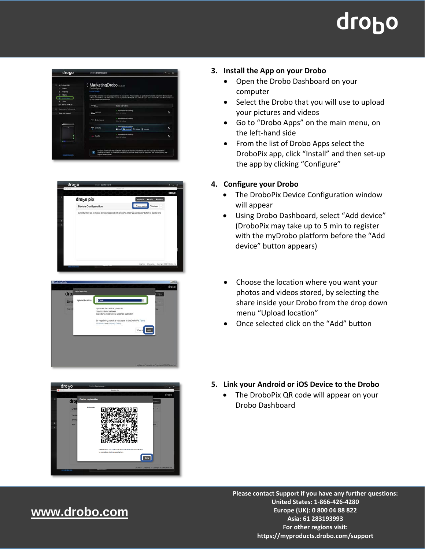# drobo









#### **3. Install the App on your Drobo**

- Open the Drobo Dashboard on your computer
- Select the Drobo that you will use to upload your pictures and videos
- Go to "Drobo Apps" on the main menu, on the left-hand side
- From the list of Drobo Apps select the DroboPix app, click "Install" and then set-up the app by clicking "Configure"

#### **4. Configure your Drobo**

- The DroboPix Device Configuration window will appear
- Using Drobo Dashboard, select "Add device" (DroboPix may take up to 5 min to register with the myDrobo platform before the "Add device" button appears)
- Choose the location where you want your photos and videos stored, by selecting the share inside your Drobo from the drop down menu "Upload location"
- Once selected click on the "Add" button
- **5. Link your Android or iOS Device to the Drobo**
	- The DroboPix QR code will appear on your Drobo Dashboard

## www.drobo.com **[www.drobo.com](http://www.drobo.com/)**

**Please contact Support if you have any further questions: United States: 1-866-426-4280 Europe (UK): 0 800 04 88 822 Asia: 61 283193993 For other regions visit: <https://myproducts.drobo.com/support>**